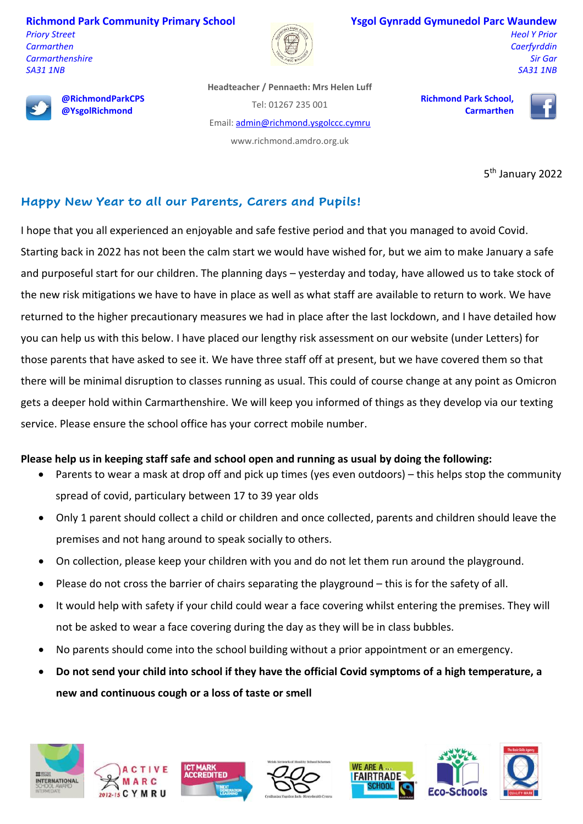**Richmond Park Community Primary School** *Priory Street*

*Carmarthen Carmarthenshire SA31 1NB*



#### **Ysgol Gynradd Gymunedol Parc Waundew**

*Heol Y Prior Caerfyrddin Sir Gar SA31 1NB*



**@RichmondParkCPS @YsgolRichmond**

**Headteacher / Pennaeth: Mrs Helen Luff** Tel: 01267 235 001 Email[: admin@richmond.ysgolccc.cymru](mailto:admin@richmond.ysgolccc.cymru)

www.richmond.amdro.org.uk

**Richmond Park School, Carmarthen**



5<sup>th</sup> January 2022

# **Happy New Year to all our Parents, Carers and Pupils!**

I hope that you all experienced an enjoyable and safe festive period and that you managed to avoid Covid.

Starting back in 2022 has not been the calm start we would have wished for, but we aim to make January a safe and purposeful start for our children. The planning days – yesterday and today, have allowed us to take stock of the new risk mitigations we have to have in place as well as what staff are available to return to work. We have returned to the higher precautionary measures we had in place after the last lockdown, and I have detailed how you can help us with this below. I have placed our lengthy risk assessment on our website (under Letters) for those parents that have asked to see it. We have three staff off at present, but we have covered them so that there will be minimal disruption to classes running as usual. This could of course change at any point as Omicron gets a deeper hold within Carmarthenshire. We will keep you informed of things as they develop via our texting service. Please ensure the school office has your correct mobile number.

#### **Please help us in keeping staff safe and school open and running as usual by doing the following:**

- Parents to wear a mask at drop off and pick up times (yes even outdoors) this helps stop the community spread of covid, particulary between 17 to 39 year olds
- Only 1 parent should collect a child or children and once collected, parents and children should leave the premises and not hang around to speak socially to others.
- On collection, please keep your children with you and do not let them run around the playground.
- Please do not cross the barrier of chairs separating the playground this is for the safety of all.
- It would help with safety if your child could wear a face covering whilst entering the premises. They will not be asked to wear a face covering during the day as they will be in class bubbles.
- No parents should come into the school building without a prior appointment or an emergency.
- **Do not send your child into school if they have the official Covid symptoms of a high temperature, a new and continuous cough or a loss of taste or smell**





ACCREDITED